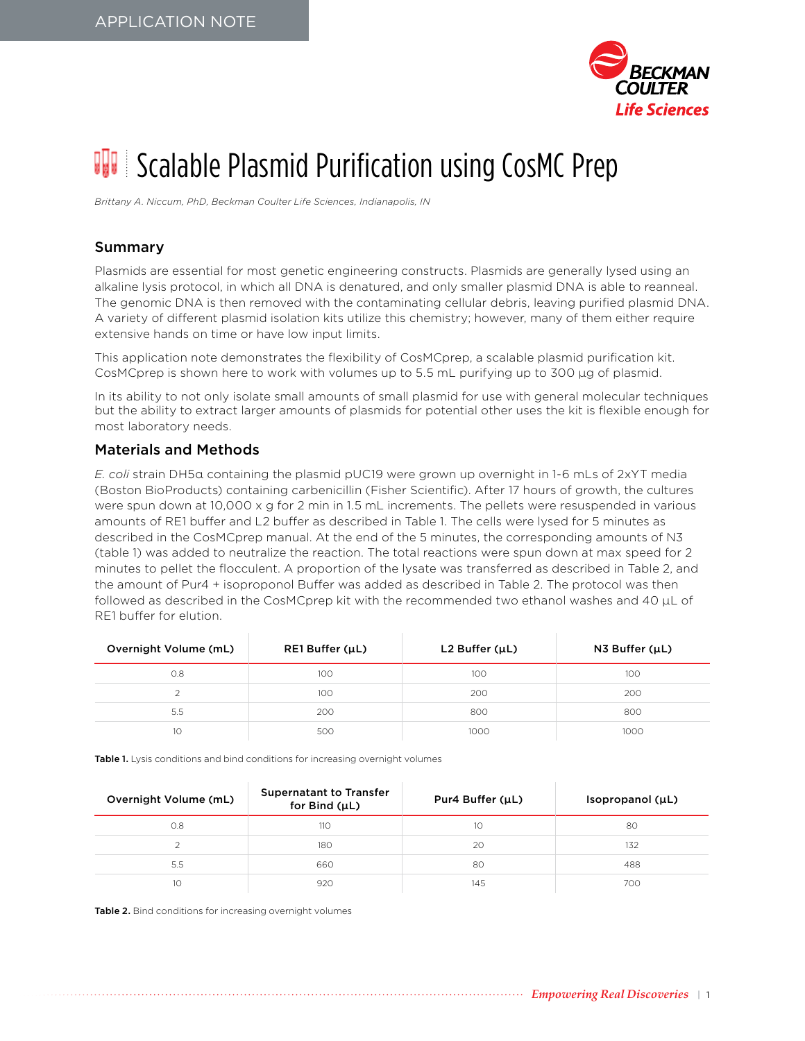

# **IT** Scalable Plasmid Purification using CosMC Prep

*Brittany A. Niccum, PhD, Beckman Coulter Life Sciences, Indianapolis, IN*

#### Summary

Plasmids are essential for most genetic engineering constructs. Plasmids are generally lysed using an alkaline lysis protocol, in which all DNA is denatured, and only smaller plasmid DNA is able to reanneal. The genomic DNA is then removed with the contaminating cellular debris, leaving purified plasmid DNA. A variety of different plasmid isolation kits utilize this chemistry; however, many of them either require extensive hands on time or have low input limits.

This application note demonstrates the flexibility of CosMCprep, a scalable plasmid purification kit. CosMCprep is shown here to work with volumes up to 5.5 mL purifying up to 300 µg of plasmid.

In its ability to not only isolate small amounts of small plasmid for use with general molecular techniques but the ability to extract larger amounts of plasmids for potential other uses the kit is flexible enough for most laboratory needs.

#### Materials and Methods

*E. coli* strain DH5α containing the plasmid pUC19 were grown up overnight in 1-6 mLs of 2xYT media (Boston BioProducts) containing carbenicillin (Fisher Scientific). After 17 hours of growth, the cultures were spun down at 10,000 x g for 2 min in 1.5 mL increments. The pellets were resuspended in various amounts of RE1 buffer and L2 buffer as described in Table 1. The cells were lysed for 5 minutes as described in the CosMCprep manual. At the end of the 5 minutes, the corresponding amounts of N3 (table 1) was added to neutralize the reaction. The total reactions were spun down at max speed for 2 minutes to pellet the flocculent. A proportion of the lysate was transferred as described in Table 2, and the amount of Pur4 + isoproponol Buffer was added as described in Table 2. The protocol was then followed as described in the CosMCprep kit with the recommended two ethanol washes and 40 µL of RE1 buffer for elution.

| Overnight Volume (mL) | $RE1$ Buffer ( $\mu$ L) | $L2$ Buffer ( $\mu$ L) | $N3$ Buffer ( $\mu$ L) |
|-----------------------|-------------------------|------------------------|------------------------|
| 0.8                   | 100                     | 100                    | 100                    |
|                       | 100                     | 200                    | 200                    |
| 5.5                   | 200                     | 800                    | 800                    |
| 10                    | 500                     | 1000                   | 1000                   |

Table 1. Lysis conditions and bind conditions for increasing overnight volumes

| Overnight Volume (mL) | <b>Supernatant to Transfer</b><br>for Bind $(\mu L)$ | Pur4 Buffer (µL) | Isopropanol $(\mu L)$ |
|-----------------------|------------------------------------------------------|------------------|-----------------------|
| O.8                   | 110                                                  | 10               | 80                    |
|                       | 180                                                  | 20               | 132                   |
| 5.5                   | 660                                                  | 80               | 488                   |
| 10                    | 920                                                  | 145              | 700                   |

Table 2. Bind conditions for increasing overnight volumes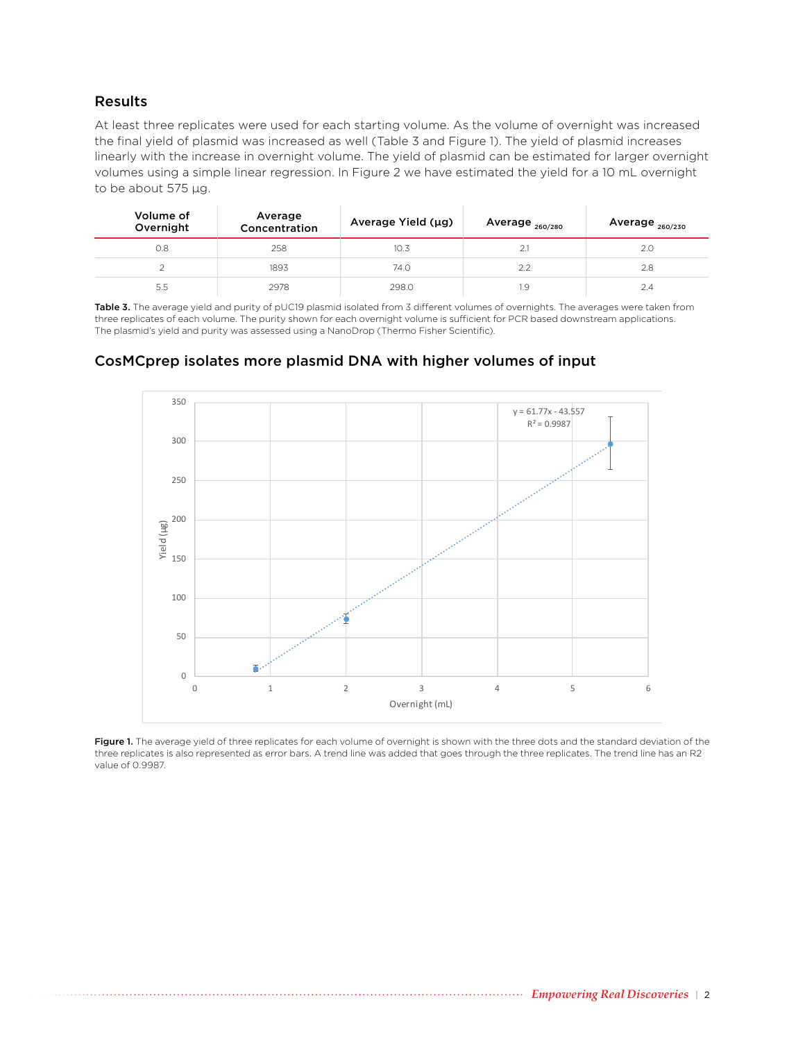#### Results

At least three replicates were used for each starting volume. As the volume of overnight was increased the final yield of plasmid was increased as well (Table 3 and Figure 1). The yield of plasmid increases linearly with the increase in overnight volume. The yield of plasmid can be estimated for larger overnight volumes using a simple linear regression. In Figure 2 we have estimated the yield for a 10 mL overnight to be about 575 μg.

| Volume of<br>Overnight | Average<br>Concentration | Average Yield (µg) | Average 260/280 | Average 260/230 |
|------------------------|--------------------------|--------------------|-----------------|-----------------|
| 0.8                    | 258                      | 10.3               | 2.1             | 2.0             |
|                        | 1893                     | 74.0               | 22              | 2.8             |
| 5.5                    | 2978                     | 298.0              | ı.9             |                 |

Table 3. The average yield and purity of pUC19 plasmid isolated from 3 different volumes of overnights. The averages were taken from three replicates of each volume. The purity shown for each overnight volume is sufficient for PCR based downstream applications. The plasmid's yield and purity was assessed using a NanoDrop (Thermo Fisher Scientific).

### CosMCprep isolates more plasmid DNA with higher volumes of input



Figure 1. The average yield of three replicates for each volume of overnight is shown with the three dots and the standard deviation of the three replicates is also represented as error bars. A trend line was added that goes through the three replicates. The trend line has an R2 value of 0.9987.